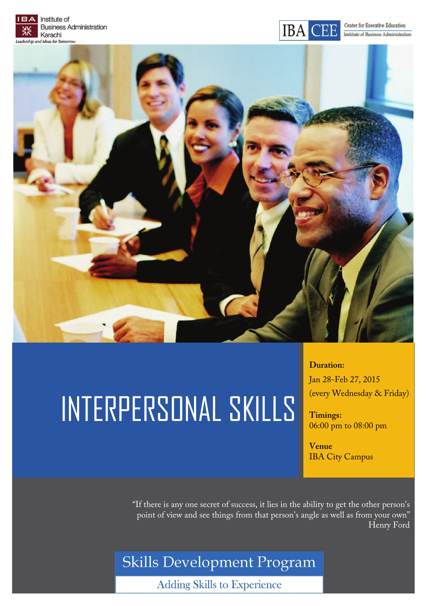



# INTERPERSONAL SKILLS

**Duration:** 

Jan 28-Feb 27, 2015 (every Wednesday & Friday)

**Timings:**  06:00 pm to 08:00 pm

**Venue**  IBA City Campus

"If there is any one secret of success, it lies in the ability to get the other person's point of view and see things from that person's angle as well as from your own" Henry Ford

Skills Development Program

**Adding Skills to Experience**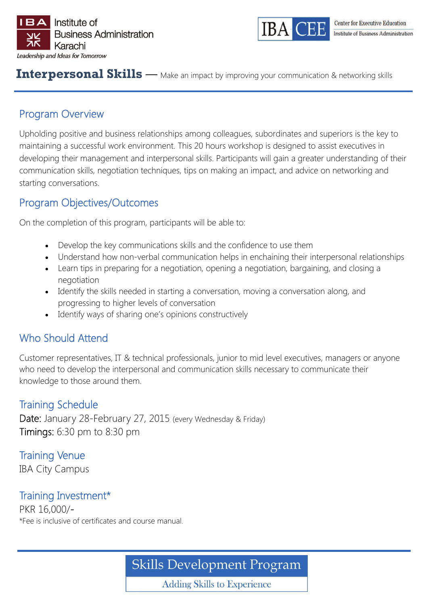



#### **Interpersonal Skills** — Make an impact by improving your communication & networking skills

# Program Overview

Upholding positive and business relationships among colleagues, subordinates and superiors is the key to maintaining a successful work environment. This 20 hours workshop is designed to assist executives in developing their management and interpersonal skills. Participants will gain a greater understanding of their communication skills, negotiation techniques, tips on making an impact, and advice on networking and starting conversations.

# Program Objectives/Outcomes

On the completion of this program, participants will be able to:

- Develop the key communications skills and the confidence to use them
- Understand how non-verbal communication helps in enchaining their interpersonal relationships
- Learn tips in preparing for a negotiation, opening a negotiation, bargaining, and closing a negotiation
- Identify the skills needed in starting a conversation, moving a conversation along, and progressing to higher levels of conversation
- Identify ways of sharing one's opinions constructively

# Who Should Attend

Customer representatives, IT & technical professionals, junior to mid level executives, managers or anyone who need to develop the interpersonal and communication skills necessary to communicate their knowledge to those around them.

## Training Schedule

Date: January 28-February 27, 2015 (every Wednesday & Friday) Timings: 6:30 pm to 8:30 pm

Training Venue IBA City Campus

Training Investment\* PKR 16,000/- \*Fee is inclusive of certificates and course manual.

**Skills Development Program** 

**Adding Skills to Experience**